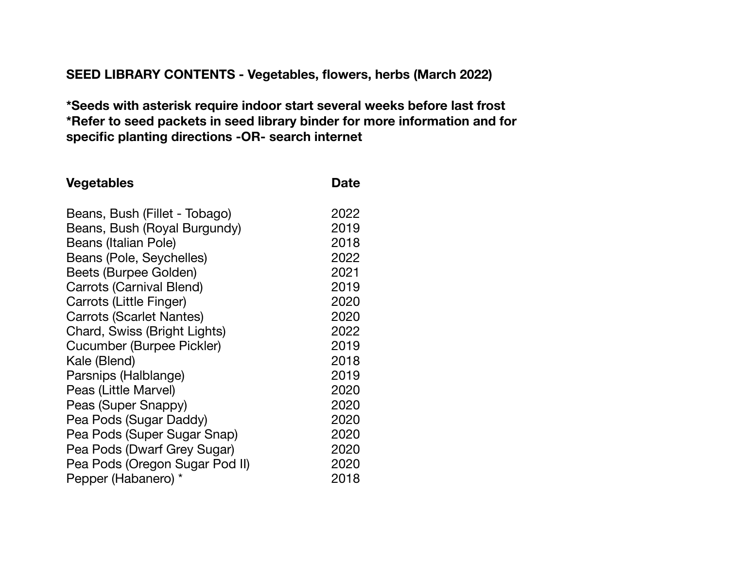## **SEED LIBRARY CONTENTS - Vegetables, flowers, herbs (March 2022)**

**\*Seeds with asterisk require indoor start several weeks before last frost \*Refer to seed packets in seed library binder for more information and for specific planting directions -OR- search internet** 

| <b>Vegetables</b>               | <b>Date</b> |
|---------------------------------|-------------|
| Beans, Bush (Fillet - Tobago)   | 2022        |
| Beans, Bush (Royal Burgundy)    | 2019        |
| Beans (Italian Pole)            | 2018        |
| Beans (Pole, Seychelles)        | 2022        |
| Beets (Burpee Golden)           | 2021        |
| <b>Carrots (Carnival Blend)</b> | 2019        |
| Carrots (Little Finger)         | 2020        |
| <b>Carrots (Scarlet Nantes)</b> | 2020        |
| Chard, Swiss (Bright Lights)    | 2022        |
| Cucumber (Burpee Pickler)       | 2019        |
| Kale (Blend)                    | 2018        |
| Parsnips (Halblange)            | 2019        |
| Peas (Little Marvel)            | 2020        |
| Peas (Super Snappy)             | 2020        |
| Pea Pods (Sugar Daddy)          | 2020        |
| Pea Pods (Super Sugar Snap)     | 2020        |
| Pea Pods (Dwarf Grey Sugar)     | 2020        |
| Pea Pods (Oregon Sugar Pod II)  | 2020        |
| Pepper (Habanero) *             | 2018        |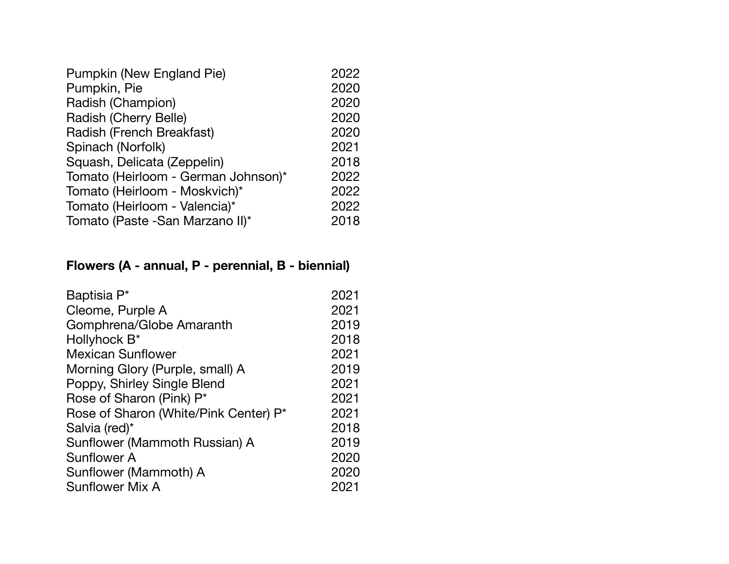| 2022 |  |
|------|--|
| 2020 |  |
| 2020 |  |
| 2020 |  |
| 2020 |  |
| 2021 |  |
| 2018 |  |
| 2022 |  |
| 2022 |  |
| 2022 |  |
| 2018 |  |
|      |  |

## **Flowers (A - annual, P - perennial, B - biennial)**

| 2021 |
|------|
| 2021 |
| 2019 |
| 2018 |
| 2021 |
| 2019 |
| 2021 |
| 2021 |
| 2021 |
| 2018 |
| 2019 |
| 2020 |
| 2020 |
| 2021 |
|      |